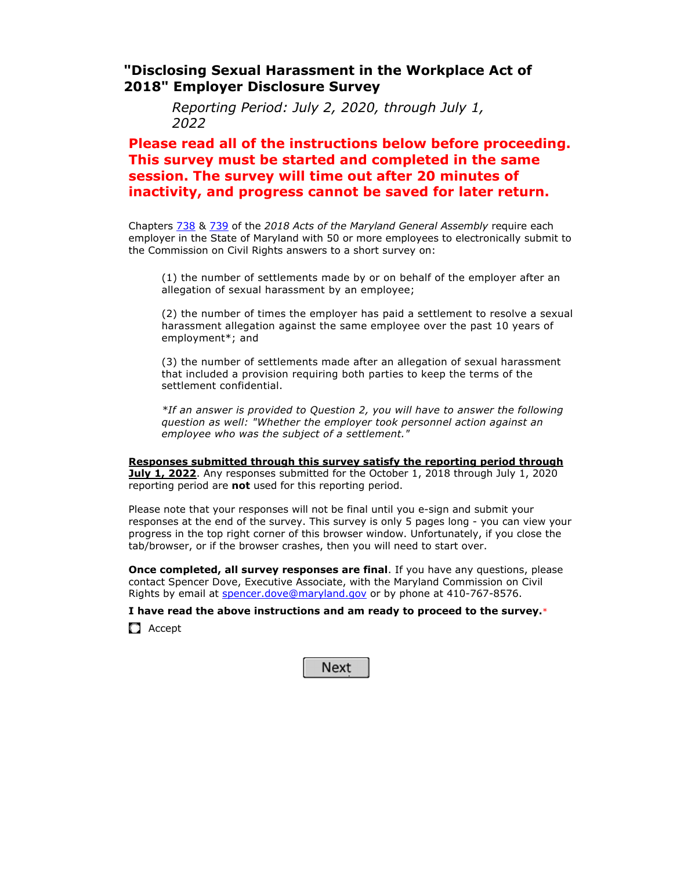### **"Disclosing Sexual Harassment in the Workplace Act of 2018" Employer Disclosure Survey**

*Reporting Period: July 2, 2020, through July 1, <sup>2022</sup>*

### **Please read all of the instructions below before proceeding. This survey must be started and completed in the same session. The survey will time out after 20 minutes of inactivity, and progress cannot be saved for later return.**

 Chapters 738 & 739 of the *2018 Acts of the Maryland General Assembly* require each employer in the State of Maryland with 50 or more employees to electronically submit to the Commission on Civil Rights answers to a short survey on:

(1) the number of settlements made by or on behalf of the employer after an allegation of sexual harassment by an employee;

(2) the number of times the employer has paid a settlement to resolve a sexual harassment allegation against the same employee over the past 10 years of employment\*; and

(3) the number of settlements made after an allegation of sexual harassment that included a provision requiring both parties to keep the terms of the settlement confidential.

*\*If an answer is provided to Question 2, you will have to answer the following question as well: "Whether the employer took personnel action against an employee who was the subject of a settlement."*

**Responses submitted through this survey satisfy the reporting period through July 1, 2022**. Any responses submitted for the October 1, 2018 through July 1, 2020 reporting period are **not** used for this reporting period.

Please note that your responses will not be final until you e-sign and submit your responses at the end of the survey. This survey is only 5 pages long - you can view your progress in the top right corner of this browser window. Unfortunately, if you close the tab/browser, or if the browser crashes, then you will need to start over.

**Once completed, all survey responses are final**. If you have any questions, please contact Spencer Dove, Executive Associate, with the Maryland Commission on Civil Rights by email at spencer.dove@maryland.gov or by phone at 410-767-8576.

**I have read the above instructions and am ready to proceed to the survey.**\*

**C** Accept

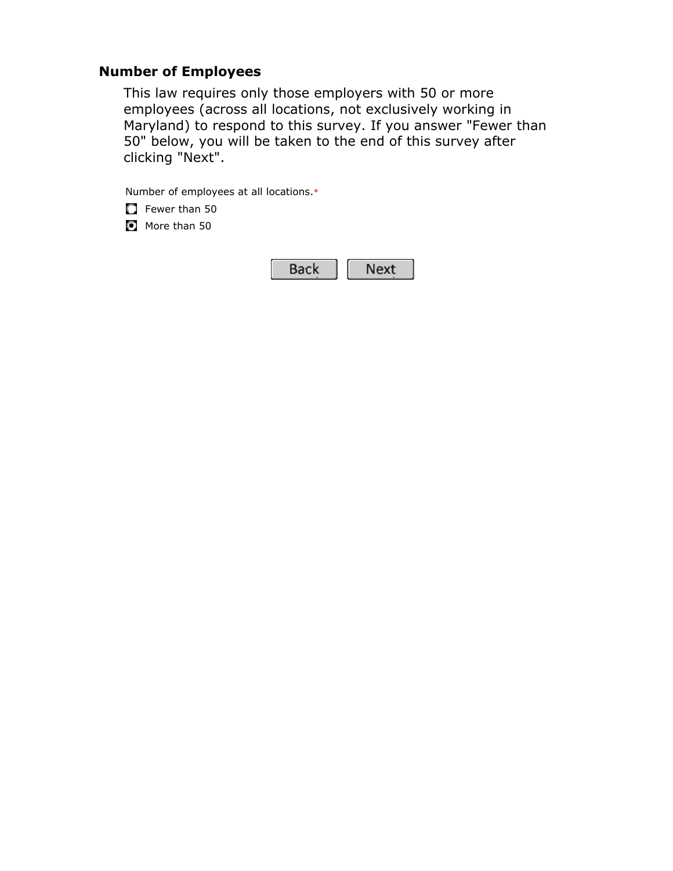# **Number of Employees**

This law requires only those employers with 50 or more employees (across all locations, not exclusively working in Maryland) to respond to this survey. If you answer "Fewer than 50" below, you will be taken to the end of this survey after clicking "Next".

Number of employees at all locations.\*

**F**ewer than 50

 $\bullet$  More than 50

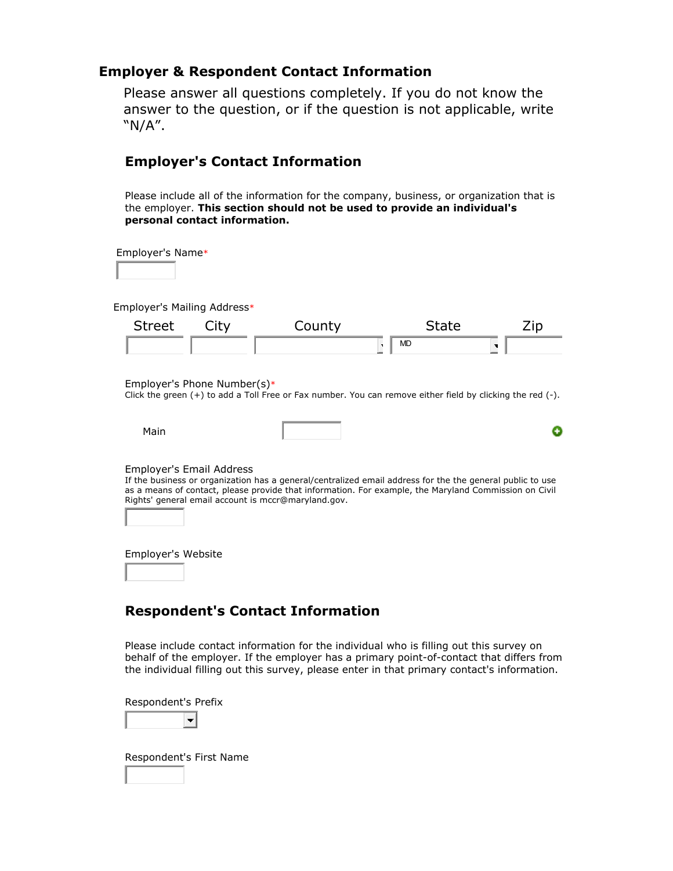### **Employer & Respondent Contact Information**

Please answer all questions completely. If you do not know the answer to the question, or if the question is not applicable, write "N/A".

# **Employer's Contact Information**

 Please include all of the information for the company, business, or organization that is the employer. **This section should not be used to provide an individual's personal contact information.**

Employer's Name\*

Employer's Mailing Address\*

| <b>Street</b> | City | רווח ה<br><b>CUUIL</b> | ыате |  |
|---------------|------|------------------------|------|--|
|               |      |                        | MD   |  |

Employer's Phone Number(s)\*

Click the green (+) to add a Toll Free or Fax number. You can remove either field by clicking the red (-).

۰

| Main |  |
|------|--|
|      |  |

Employer's Email Address

If the business or organization has a general/centralized email address for the the general public to use as a means of contact, please provide that information. For example, the Maryland Commission on Civil Rights' general email account is mccr@maryland.gov.

Employer's Website

# **Respondent's Contact Information**

 Please include contact information for the individual who is filling out this survey on behalf of the employer. If the employer has a primary point-of-contact that differs from the individual filling out this survey, please enter in that primary contact's information.

Respondent's Prefix



Respondent's First Name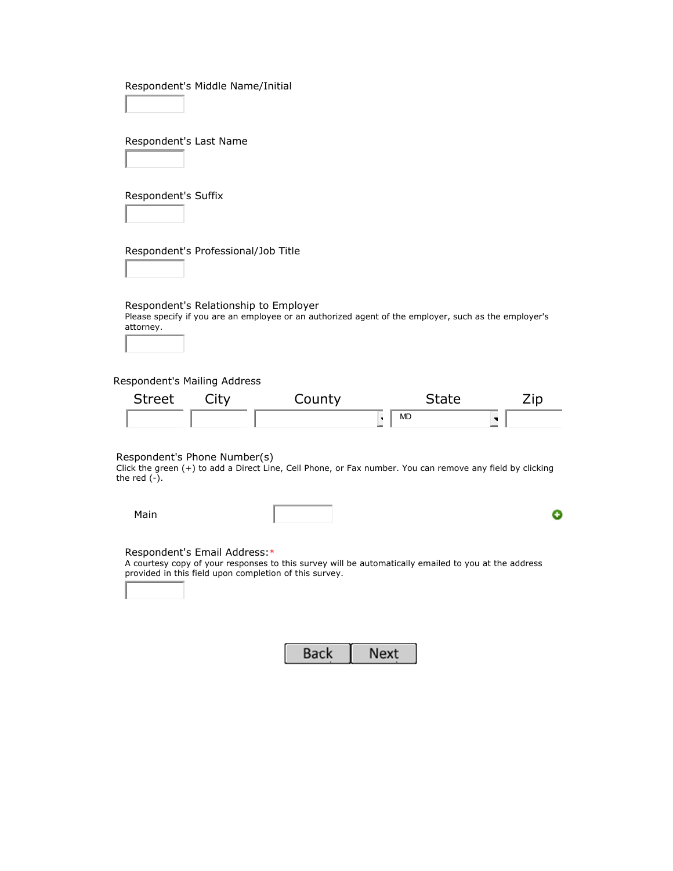| Respondent's Middle Name/Initial |  |  |  |
|----------------------------------|--|--|--|
|----------------------------------|--|--|--|

Respondent's Last Name

Respondent's Suffix

Respondent's Professional/Job Title

Respondent's Relationship to Employer

Please specify if you are an employee or an authorized agent of the employer, such as the employer's attorney.

Respondent's Mailing Address

| <b>Street</b> | City | County | State     |  |
|---------------|------|--------|-----------|--|
|               |      |        | <b>MD</b> |  |

Respondent's Phone Number(s)

Click the green (+) to add a Direct Line, Cell Phone, or Fax number. You can remove any field by clicking the red  $(-)$ .

Main

۰

#### Respondent's Email Address:\*

A courtesy copy of your responses to this survey will be automatically emailed to you at the address provided in this field upon completion of this survey.

| Back | Next |
|------|------|
|      |      |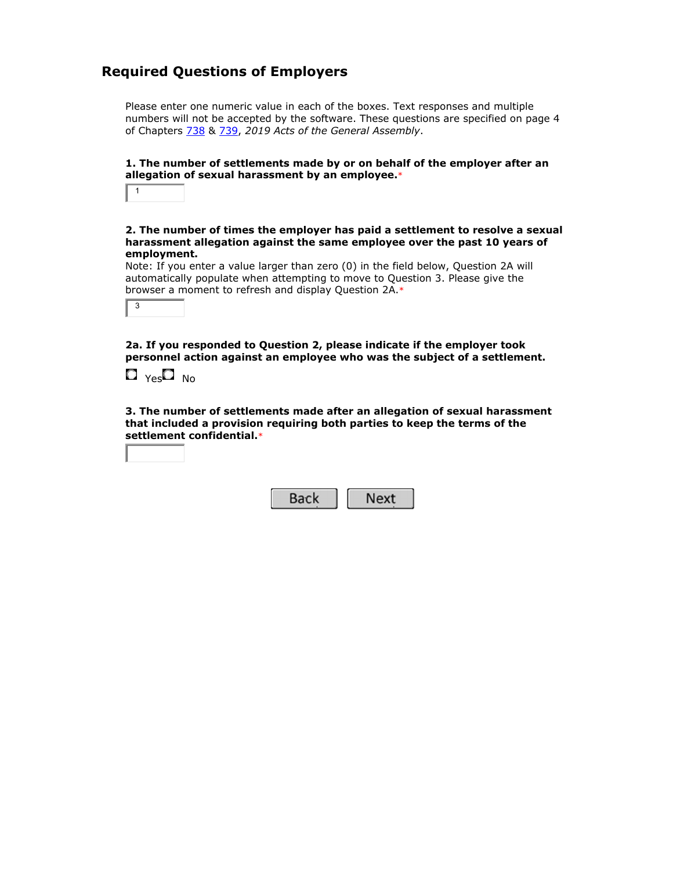# **Required Questions of Employers**

 Please enter one numeric value in each of the boxes. Text responses and multiple numbers will not be accepted by the software. These questions are specified on page 4 of Chapters 738 & 739, *2019 Acts of the General Assembly*.

#### **1. The number of settlements made by or on behalf of the employer after an allegation of sexual harassment by an employee.**\*

<sup>3</sup>

#### **2. The number of times the employer has paid a settlement to resolve a sexual harassment allegation against the same employee over the past 10 years of employment.**

Note: If you enter a value larger than zero (0) in the field below, Question 2A will automatically populate when attempting to move to Question 3. Please give the browser a moment to refresh and display Question 2A.\*

**2a. If you responded to Question 2, please indicate if the employer took personnel action against an employee who was the subject of a settlement.**



**3. The number of settlements made after an allegation of sexual harassment that included a provision requiring both parties to keep the terms of the settlement confidential.**\*

|--|--|